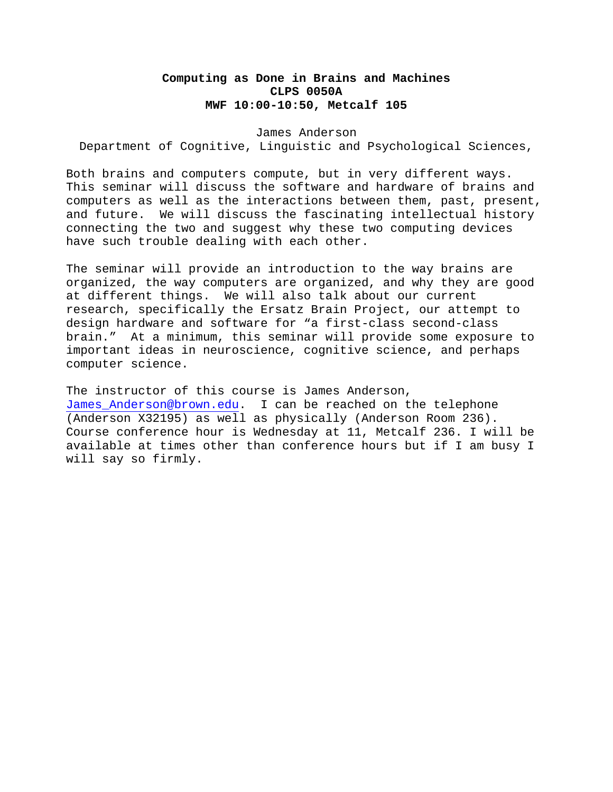## **Computing as Done in Brains and Machines CLPS 0050A MWF 10:00-10:50, Metcalf 105**

## James Anderson

Department of Cognitive, Linguistic and Psychological Sciences,

Both brains and computers compute, but in very different ways. This seminar will discuss the software and hardware of brains and computers as well as the interactions between them, past, present, and future. We will discuss the fascinating intellectual history connecting the two and suggest why these two computing devices have such trouble dealing with each other.

The seminar will provide an introduction to the way brains are organized, the way computers are organized, and why they are good at different things. We will also talk about our current research, specifically the Ersatz Brain Project, our attempt to design hardware and software for "a first-class second-class brain." At a minimum, this seminar will provide some exposure to important ideas in neuroscience, cognitive science, and perhaps computer science.

The instructor of this course is James Anderson, James Anderson@brown.edu. I can be reached on the telephone (Anderson X32195) as well as physically (Anderson Room 236). Course conference hour is Wednesday at 11, Metcalf 236. I will be available at times other than conference hours but if I am busy I will say so firmly.